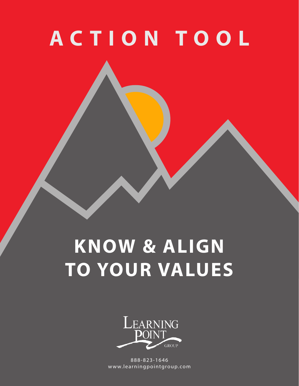# **ACTION TOOL**

## **KNOW & ALIGN TO YOUR VALUES**



888-823-1646 www.learningpointgroup.com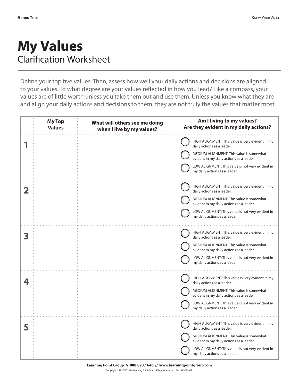### **My Values** Clarification Worksheet

Define your top five values. Then, assess how well your daily actions and decisions are aligned to your values. To what degree are your values reflected in how you lead? Like a compass, your values are of little worth unless you take them out and use them. Unless you know what they are and align your daily actions and decisions to them, they are not truly the values that matter most.

|   | <b>My Top</b><br><b>Values</b> | What will others see me doing<br>when I live by my values? | Am I living to my values?<br>Are they evident in my daily actions?                                                                                                                                                                                          |
|---|--------------------------------|------------------------------------------------------------|-------------------------------------------------------------------------------------------------------------------------------------------------------------------------------------------------------------------------------------------------------------|
|   |                                |                                                            | HIGH ALIGNMENT: This value is very evident in my<br>daily actions as a leader.<br>MEDIUM ALIGNMENT: This value is somewhat<br>evident in my daily actions as a leader.<br>LOW ALIGNMENT: This value is not very evident in<br>my daily actions as a leader. |
|   |                                |                                                            | HIGH ALIGNMENT: This value is very evident in my<br>daily actions as a leader.<br>MEDIUM ALIGNMENT: This value is somewhat<br>evident in my daily actions as a leader.<br>LOW ALIGNMENT: This value is not very evident in<br>my daily actions as a leader. |
|   |                                |                                                            | HIGH ALIGNMENT: This value is very evident in my<br>daily actions as a leader.<br>MEDIUM ALIGNMENT: This value is somewhat<br>evident in my daily actions as a leader.<br>LOW ALIGNMENT: This value is not very evident in<br>my daily actions as a leader. |
|   |                                |                                                            | HIGH ALIGNMENT: This value is very evident in my<br>daily actions as a leader.<br>MEDIUM ALIGNMENT: This value is somewhat<br>evident in my daily actions as a leader.<br>LOW ALIGNMENT: This value is not very evident in<br>my daily actions as a leader. |
| 5 |                                |                                                            | HIGH ALIGNMENT: This value is very evident in my<br>daily actions as a leader.<br>MEDIUM ALIGNMENT: This value is somewhat<br>evident in my daily actions as a leader.<br>LOW ALIGNMENT: This value is not very evident in<br>my daily actions as a leader. |